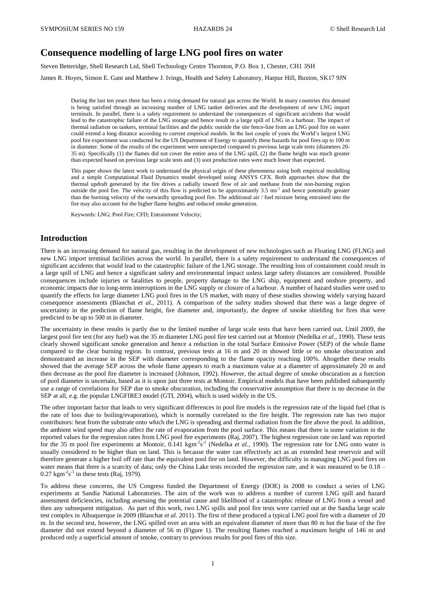# **Consequence modelling of large LNG pool fires on water**

Steven Betteridge, Shell Research Ltd, Shell Technology Centre Thornton, P.O. Box 1, Chester, CH1 3SH

James R. Hoyes, Simon E. Gant and Matthew J. Ivings, Health and Safety Laboratory, Harpur Hill, Buxton, SK17 9JN

During the last ten years there has been a rising demand for natural gas across the World. In many countries this demand is being satisfied through an increasing number of LNG tanker deliveries and the development of new LNG import terminals. In parallel, there is a safety requirement to understand the consequences of significant accidents that would lead to the catastrophic failure of the LNG storage and hence result in a large spill of LNG in a harbour. The impact of thermal radiation on tankers, terminal facilities and the public outside the site fence-line from an LNG pool fire on water could extend a long distance according to current empirical models. In the last couple of years the World's largest LNG pool fire experiment was conducted for the US Department of Energy to quantify these hazards for pool fires up to 100 m in diameter. Some of the results of the experiment were unexpected compared to previous large scale tests (diameters 20- 35 m). Specifically (1) the flames did not cover the entire area of the LNG spill, (2) the flame height was much greater than expected based on previous large scale tests and (3) soot production rates were much lower than expected.

This paper shows the latest work to understand the physical origin of these phenomena using both empirical modelling and a simple Computational Fluid Dynamics model developed using ANSYS CFX. Both approaches show that the thermal updraft generated by the fire drives a radially inward flow of air and methane from the non-burning region outside the pool fire. The velocity of this flow is predicted to be approximately  $3.5 \text{ ms}^{-1}$  and hence potentially greater than the burning velocity of the outwardly spreading pool fire. The additional air / fuel mixture being entrained into the fire may also account for the higher flame heights and reduced smoke generation.

Keywords: LNG; Pool Fire; CFD; Entrainment Velocity;

#### **Introduction**

There is an increasing demand for natural gas, resulting in the development of new technologies such as Floating LNG (FLNG) and new LNG import terminal facilities across the world. In parallel, there is a safety requirement to understand the consequences of significant accidents that would lead to the catastrophic failure of the LNG storage. The resulting loss of containment could result in a large spill of LNG and hence a significant safety and environmental impact unless large safety distances are considered. Possible consequences include injuries or fatalities to people, property damage to the LNG ship, equipment and onshore property, and economic impacts due to long-term interruptions in the LNG supply or closure of a harbour. A number of hazard studies were used to quantify the effects for large diameter LNG pool fires in the US market, with many of these studies showing widely varying hazard consequence assessments (Blanchat *et al.*, 2011). A comparison of the safety studies showed that there was a large degree of uncertainty in the prediction of flame height, fire diameter and, importantly, the degree of smoke shielding for fires that were predicted to be up to 500 m in diameter.

The uncertainty in these results is partly due to the limited number of large scale tests that have been carried out. Until 2009, the largest pool fire test (for any fuel) was the 35 m diameter LNG pool fire test carried out at Montoir (Nedelka *et al.*, 1990). These tests clearly showed significant smoke generation and hence a reduction in the total Surface Emissive Power (SEP) of the whole flame compared to the clear burning region. In contrast, previous tests at 16 m and 20 m showed little or no smoke obscuration and demonstrated an increase in the SEP with diameter corresponding to the flame opacity reaching 100%. Altogether these results showed that the average SEP across the whole flame appears to reach a maximum value at a diameter of approximately 20 m and then decrease as the pool fire diameter is increased (Johnson, 1992). However, the actual degree of smoke obscuration as a function of pool diameter is uncertain, based as it is upon just three tests at Montoir. Empirical models that have been published subsequently use a range of correlations for SEP due to smoke obscuration, including the conservative assumption that there is no decrease in the SEP at all, e.g. the popular LNGFIRE3 model (GTI, 2004), which is used widely in the US.

The other important factor that leads to very significant differences in pool fire models is the regression rate of the liquid fuel (that is the rate of loss due to boiling/evaporation), which is normally correlated to the fire height. The regression rate has two major contributors: heat from the substrate onto which the LNG is spreading and thermal radiation from the fire above the pool. In addition, the ambient wind speed may also affect the rate of evaporation from the pool surface. This means that there is some variation in the reported values for the regression rates from LNG pool fire experiments (Raj, 2007). The highest regression rate on land was reported for the 35 m pool fire experiments at Montoir,  $0.141 \text{ kgm}^2\text{s}^{-1}$  (Nedelka *et al.*, 1990). The regression rate for LNG onto water is usually considered to be higher than on land. This is because the water can effectively act as an extended heat reservoir and will therefore generate a higher boil off rate than the equivalent pool fire on land. However, the difficulty in managing LNG pool fires on water means that there is a scarcity of data; only the China Lake tests recorded the regression rate, and it was measured to be 0.18 –  $0.27 \text{ kgm}^{-2} \text{s}^{-1}$  in these tests (Raj, 1979).

To address these concerns, the US Congress funded the Department of Energy (DOE) in 2008 to conduct a series of LNG experiments at Sandia National Laboratories. The aim of the work was to address a number of current LNG spill and hazard assessment deficiencies, including assessing the potential cause and likelihood of a catastrophic release of LNG from a vessel and then any subsequent mitigation. As part of this work, two LNG spills and pool fire tests were carried out at the Sandia large scale test complex in Albuquerque in 2009 (Blanchat *et al.* 2011). The first of these produced a typical LNG pool fire with a diameter of 20 m. In the second test, however, the LNG spilled over an area with an equivalent diameter of more than 80 m but the base of the fire diameter did not extend beyond a diameter of 56 m (Figure 1). The resulting flames reached a maximum height of 146 m and produced only a superficial amount of smoke, contrary to previous results for pool fires of this size.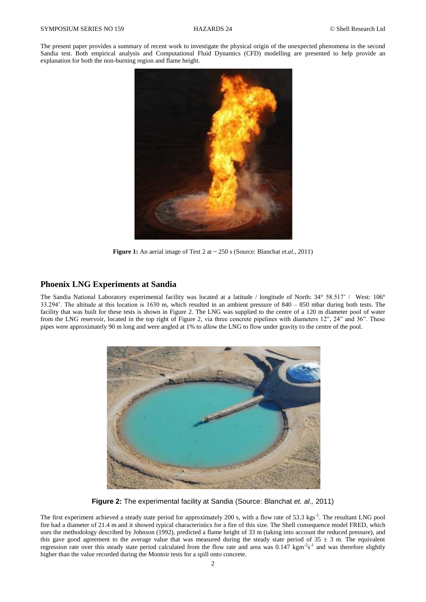The present paper provides a summary of recent work to investigate the physical origin of the unexpected phenomena in the second Sandia test. Both empirical analysis and Computational Fluid Dynamics (CFD) modelling are presented to help provide an explanation for both the non-burning region and flame height.



**Figure 1:** An aerial image of Test 2 at  $\sim$  250 s (Source: Blanchat *et.al.*, 2011)

## **Phoenix LNG Experiments at Sandia**

The Sandia National Laboratory experimental facility was located at a latitude / longitude of North: 34° 58.517' / West: 106° 33.294'. The altitude at this location is 1630 m, which resulted in an ambient pressure of 840 – 850 mbar during both tests. The facility that was built for these tests is shown in Figure 2. The LNG was supplied to the centre of a 120 m diameter pool of water from the LNG reservoir, located in the top right of Figure 2, via three concrete pipelines with diameters 12", 24" and 36". These pipes were approximately 90 m long and were angled at 1% to allow the LNG to flow under gravity to the centre of the pool.



**Figure 2:** The experimental facility at Sandia (Source: Blanchat *et. al.,* 2011)

The first experiment achieved a steady state period for approximately 200 s, with a flow rate of 53.3 kgs<sup>-1</sup>. The resultant LNG pool fire had a diameter of 21.4 m and it showed typical characteristics for a fire of this size. The Shell consequence model FRED, which uses the methodology described by Johnson (1992), predicted a flame height of 33 m (taking into account the reduced pressure), and this gave good agreement to the average value that was measured during the steady state period of  $35 \pm 3$  m. The equivalent regression rate over this steady state period calculated from the flow rate and area was  $0.147 \text{ kg m}^2 \text{s}^{-1}$  and was therefore slightly higher than the value recorded during the Montoir tests for a spill onto concrete.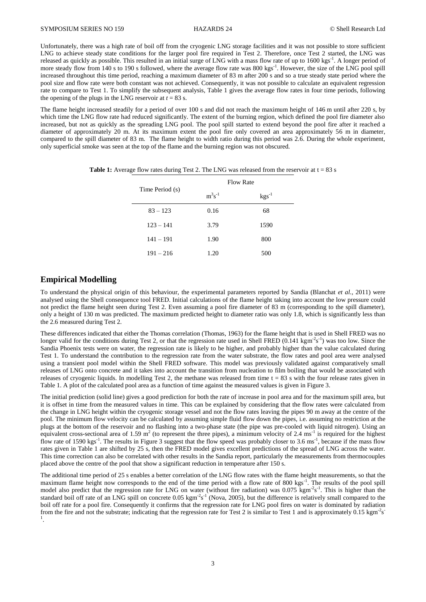Unfortunately, there was a high rate of boil off from the cryogenic LNG storage facilities and it was not possible to store sufficient LNG to achieve steady state conditions for the larger pool fire required in Test 2. Therefore, once Test 2 started, the LNG was released as quickly as possible. This resulted in an initial surge of LNG with a mass flow rate of up to 1600 kgs<sup>-1</sup>. A longer period of more steady flow from 140 s to 190 s followed, where the average flow rate was 800 kgs<sup>-1</sup>. However, the size of the LNG pool spill increased throughout this time period, reaching a maximum diameter of 83 m after 200 s and so a true steady state period where the pool size and flow rate were both constant was not achieved. Consequently, it was not possible to calculate an equivalent regression rate to compare to Test 1. To simplify the subsequent analysis, Table 1 gives the average flow rates in four time periods, following the opening of the plugs in the LNG reservoir at  $t = 83$  s.

The flame height increased steadily for a period of over 100 s and did not reach the maximum height of 146 m until after 220 s, by which time the LNG flow rate had reduced significantly. The extent of the burning region, which defined the pool fire diameter also increased, but not as quickly as the spreading LNG pool. The pool spill started to extend beyond the pool fire after it reached a diameter of approximately 20 m. At its maximum extent the pool fire only covered an area approximately 56 m in diameter, compared to the spill diameter of 83 m. The flame height to width ratio during this period was 2.6. During the whole experiment, only superficial smoke was seen at the top of the flame and the burning region was not obscured.

| Time Period (s) | <b>Flow Rate</b> |                   |  |
|-----------------|------------------|-------------------|--|
|                 | $m^3s^{-1}$      | $\text{kgs}^{-1}$ |  |
| $83 - 123$      | 0.16             | 68                |  |
| $123 - 141$     | 3.79             | 1590              |  |
| $141 - 191$     | 1.90             | 800               |  |
| $191 - 216$     | 1.20             | 500               |  |

**Table 1:** Average flow rates during Test 2. The LNG was released from the reservoir at  $t = 83$  s

## **Empirical Modelling**

To understand the physical origin of this behaviour, the experimental parameters reported by Sandia (Blanchat *et al.,* 2011) were analysed using the Shell consequence tool FRED. Initial calculations of the flame height taking into account the low pressure could not predict the flame height seen during Test 2. Even assuming a pool fire diameter of 83 m (corresponding to the spill diameter), only a height of 130 m was predicted. The maximum predicted height to diameter ratio was only 1.8, which is significantly less than the 2.6 measured during Test 2.

These differences indicated that either the Thomas correlation (Thomas, 1963) for the flame height that is used in Shell FRED was no longer valid for the conditions during Test 2, or that the regression rate used in Shell FRED  $(0.141 \text{ kg} \text{m}^2 \text{s}^{-1})$  was too low. Since the Sandia Phoenix tests were on water, the regression rate is likely to be higher, and probably higher than the value calculated during Test 1. To understand the contribution to the regression rate from the water substrate, the flow rates and pool area were analysed using a transient pool model within the Shell FRED software. This model was previously validated against comparatively small releases of LNG onto concrete and it takes into account the transition from nucleation to film boiling that would be associated with releases of cryogenic liquids. In modelling Test 2, the methane was released from time  $t = 83$  s with the four release rates given in Table 1. A plot of the calculated pool area as a function of time against the measured values is given in Figure 3.

The initial prediction (solid line) gives a good prediction for both the rate of increase in pool area and for the maximum spill area, but it is offset in time from the measured values in time. This can be explained by considering that the flow rates were calculated from the change in LNG height within the cryogenic storage vessel and not the flow rates leaving the pipes 90 m away at the centre of the pool. The minimum flow velocity can be calculated by assuming simple fluid flow down the pipes, i.e. assuming no restriction at the plugs at the bottom of the reservoir and no flashing into a two-phase state (the pipe was pre-cooled with liquid nitrogen). Using an equivalent cross-sectional area of 1.59  $m^2$  (to represent the three pipes), a minimum velocity of 2.4 ms<sup>-1</sup> is required for the highest flow rate of 1590 kgs<sup>-1</sup>. The results in Figure 3 suggest that the flow speed was probably closer to 3.6 ms<sup>-1</sup>, because if the mass flow rates given in Table 1 are shifted by 25 s, then the FRED model gives excellent predictions of the spread of LNG across the water. This time correction can also be correlated with other results in the Sandia report, particularly the measurements from thermocouples placed above the centre of the pool that show a significant reduction in temperature after 150 s.

The additional time period of 25 s enables a better correlation of the LNG flow rates with the flame height measurements, so that the maximum flame height now corresponds to the end of the time period with a flow rate of 800 kgs<sup>-1</sup>. The results of the pool spill model also predict that the regression rate for LNG on water (without fire radiation) was 0.075 kgm<sup>-2</sup>s<sup>-1</sup>. This is higher than the standard boil off rate of an LNG spill on concrete  $0.05 \text{ kgm}^2\text{s}^{-1}$  (Nova, 2005), but the difference is relatively small compared to the boil off rate for a pool fire. Consequently it confirms that the regression rate for LNG pool fires on water is dominated by radiation from the fire and not the substrate; indicating that the regression rate for Test 2 is similar to Test 1 and is approximately 0.15 kgm<sup>-2</sup>s 1 .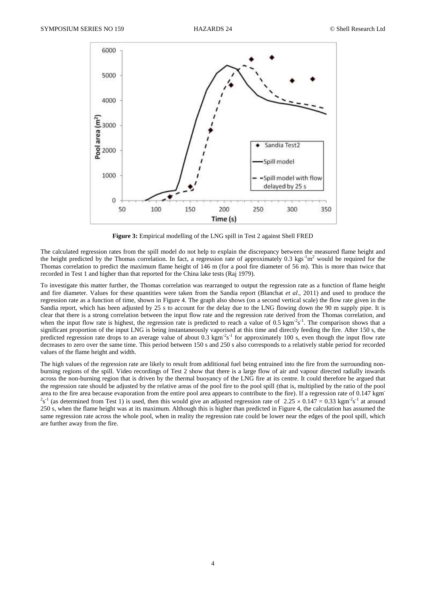

**Figure 3:** Empirical modelling of the LNG spill in Test 2 against Shell FRED

The calculated regression rates from the spill model do not help to explain the discrepancy between the measured flame height and the height predicted by the Thomas correlation. In fact, a regression rate of approximately 0.3 kgs<sup>-1</sup>m<sup>2</sup> would be required for the Thomas correlation to predict the maximum flame height of 146 m (for a pool fire diameter of 56 m). This is more than twice that recorded in Test 1 and higher than that reported for the China lake tests (Raj 1979).

To investigate this matter further, the Thomas correlation was rearranged to output the regression rate as a function of flame height and fire diameter. Values for these quantities were taken from the Sandia report (Blanchat *et al.,* 2011) and used to produce the regression rate as a function of time, shown in Figure 4. The graph also shows (on a second vertical scale) the flow rate given in the Sandia report, which has been adjusted by 25 s to account for the delay due to the LNG flowing down the 90 m supply pipe. It is clear that there is a strong correlation between the input flow rate and the regression rate derived from the Thomas correlation, and when the input flow rate is highest, the regression rate is predicted to reach a value of  $0.5 \text{ kgm}^2 \text{s}^{-1}$ . The comparison shows that a significant proportion of the input LNG is being instantaneously vaporised at this time and directly feeding the fire. After 150 s, the predicted regression rate drops to an average value of about 0.3  $\text{kgm}^2\text{s}^1$  for approximately 100 s, even though the input flow rate decreases to zero over the same time. This period between 150 s and 250 s also corresponds to a relatively stable period for recorded values of the flame height and width.

The high values of the regression rate are likely to result from additional fuel being entrained into the fire from the surrounding nonburning regions of the spill. Video recordings of Test 2 show that there is a large flow of air and vapour directed radially inwards across the non-burning region that is driven by the thermal buoyancy of the LNG fire at its centre. It could therefore be argued that the regression rate should be adjusted by the relative areas of the pool fire to the pool spill (that is, multiplied by the ratio of the pool area to the fire area because evaporation from the entire pool area appears to contribute to the fire). If a regression rate of 0.147 kgm - <sup>2</sup>s<sup>-1</sup> (as determined from Test 1) is used, then this would give an adjusted regression rate of 2.25  $\times$  0.147 = 0.33 kgm<sup>-2</sup>s<sup>-1</sup> at around 250 s, when the flame height was at its maximum. Although this is higher than predicted in Figure 4, the calculation has assumed the same regression rate across the whole pool, when in reality the regression rate could be lower near the edges of the pool spill, which are further away from the fire.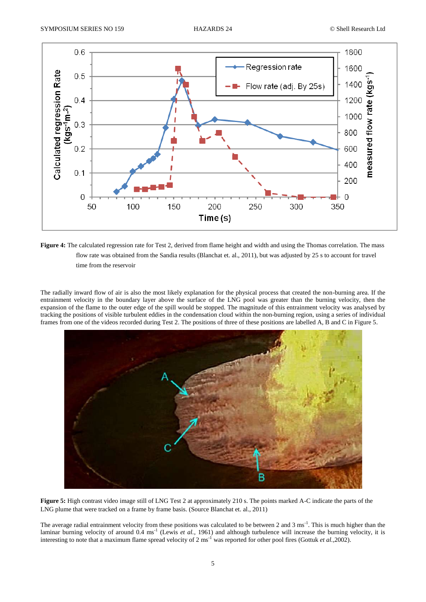

Figure 4: The calculated regression rate for Test 2, derived from flame height and width and using the Thomas correlation. The mass flow rate was obtained from the Sandia results (Blanchat et. al., 2011), but was adjusted by 25 s to account for travel time from the reservoir

The radially inward flow of air is also the most likely explanation for the physical process that created the non-burning area. If the entrainment velocity in the boundary layer above the surface of the LNG pool was greater than the burning velocity, then the expansion of the flame to the outer edge of the spill would be stopped. The magnitude of this entrainment velocity was analysed by tracking the positions of visible turbulent eddies in the condensation cloud within the non-burning region, using a series of individual frames from one of the videos recorded during Test 2. The positions of three of these positions are labelled A, B and C in Figure 5.



**Figure 5:** High contrast video image still of LNG Test 2 at approximately 210 s. The points marked A-C indicate the parts of the LNG plume that were tracked on a frame by frame basis. (Source Blanchat et. al., 2011)

The average radial entrainment velocity from these positions was calculated to be between 2 and 3 ms<sup>-1</sup>. This is much higher than the laminar burning velocity of around 0.4 ms<sup>-1</sup> (Lewis *et al.*, 1961) and although turbulence will increase the burning velocity, it is interesting to note that a maximum flame spread velocity of 2 ms<sup>-1</sup> was reported for other pool fires (Gottuk *et al.*,2002).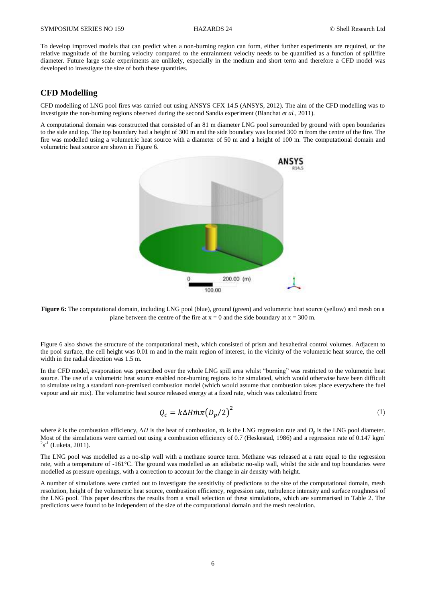To develop improved models that can predict when a non-burning region can form, either further experiments are required, or the relative magnitude of the burning velocity compared to the entrainment velocity needs to be quantified as a function of spill/fire diameter. Future large scale experiments are unlikely, especially in the medium and short term and therefore a CFD model was developed to investigate the size of both these quantities.

## **CFD Modelling**

CFD modelling of LNG pool fires was carried out using ANSYS CFX 14.5 (ANSYS, 2012). The aim of the CFD modelling was to investigate the non-burning regions observed during the second Sandia experiment (Blanchat *et al.*, 2011).

A computational domain was constructed that consisted of an 81 m diameter LNG pool surrounded by ground with open boundaries to the side and top. The top boundary had a height of 300 m and the side boundary was located 300 m from the centre of the fire. The fire was modelled using a volumetric heat source with a diameter of 50 m and a height of 100 m. The computational domain and volumetric heat source are shown in Figure 6.



**Figure 6:** The computational domain, including LNG pool (blue), ground (green) and volumetric heat source (yellow) and mesh on a plane between the centre of the fire at  $x = 0$  and the side boundary at  $x = 300$  m.

Figure 6 also shows the structure of the computational mesh, which consisted of prism and hexahedral control volumes. Adjacent to the pool surface, the cell height was 0.01 m and in the main region of interest, in the vicinity of the volumetric heat source, the cell width in the radial direction was 1.5 m.

In the CFD model, evaporation was prescribed over the whole LNG spill area whilst "burning" was restricted to the volumetric heat source. The use of a volumetric heat source enabled non-burning regions to be simulated, which would otherwise have been difficult to simulate using a standard non-premixed combustion model (which would assume that combustion takes place everywhere the fuel vapour and air mix). The volumetric heat source released energy at a fixed rate, which was calculated from:

$$
Q_c = k\Delta H \dot{m} \pi \left( D_p / 2 \right)^2 \tag{1}
$$

where *k* is the combustion efficiency,  $\Delta H$  is the heat of combustion,  $\dot{m}$  is the LNG regression rate and  $D_p$  is the LNG pool diameter. Most of the simulations were carried out using a combustion efficiency of 0.7 (Heskestad, 1986) and a regression rate of 0.147 kgm  $2s^{-1}$  (Luketa, 2011).

The LNG pool was modelled as a no-slip wall with a methane source term. Methane was released at a rate equal to the regression rate, with a temperature of -161°C. The ground was modelled as an adiabatic no-slip wall, whilst the side and top boundaries were modelled as pressure openings, with a correction to account for the change in air density with height.

A number of simulations were carried out to investigate the sensitivity of predictions to the size of the computational domain, mesh resolution, height of the volumetric heat source, combustion efficiency, regression rate, turbulence intensity and surface roughness of the LNG pool. This paper describes the results from a small selection of these simulations, which are summarised in Table 2. The predictions were found to be independent of the size of the computational domain and the mesh resolution.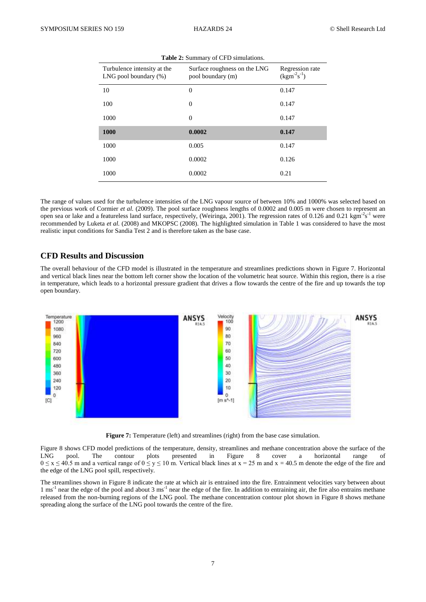| Turbulence intensity at the<br>LNG pool boundary $(\%)$ | Surface roughness on the LNG<br>pool boundary (m) | Regression rate<br>$(kgm^{-2}s^{-1})$ |  |  |
|---------------------------------------------------------|---------------------------------------------------|---------------------------------------|--|--|
| 10                                                      | $\theta$                                          | 0.147                                 |  |  |
| 100                                                     | $\boldsymbol{0}$                                  | 0.147                                 |  |  |
| 1000                                                    | $\overline{0}$                                    | 0.147                                 |  |  |
| 1000                                                    | 0.0002                                            | 0.147                                 |  |  |
| 1000                                                    | 0.005                                             | 0.147                                 |  |  |
| 1000                                                    | 0.0002                                            | 0.126                                 |  |  |
| 1000                                                    | 0.0002                                            | 0.21                                  |  |  |

**Table 2:** Summary of CFD simulations.

The range of values used for the turbulence intensities of the LNG vapour source of between 10% and 1000% was selected based on the previous work of Cormier *et al.* (2009). The pool surface roughness lengths of 0.0002 and 0.005 m were chosen to represent an open sea or lake and a featureless land surface, respectively, (Weiringa, 2001). The regression rates of 0.126 and 0.21 kgm<sup>-2</sup>s<sup>-1</sup> were recommended by Luketa *et al.* (2008) and MKOPSC (2008). The highlighted simulation in Table 1 was considered to have the most realistic input conditions for Sandia Test 2 and is therefore taken as the base case.

## **CFD Results and Discussion**

The overall behaviour of the CFD model is illustrated in the temperature and streamlines predictions shown in Figure 7. Horizontal and vertical black lines near the bottom left corner show the location of the volumetric heat source. Within this region, there is a rise in temperature, which leads to a horizontal pressure gradient that drives a flow towards the centre of the fire and up towards the top open boundary.



**Figure 7:** Temperature (left) and streamlines (right) from the base case simulation.

Figure 8 shows CFD model predictions of the temperature, density, streamlines and methane concentration above the surface of the LNG pool. The contour plots presented in Figure 8 cover a horizontal range of  $0 \le x \le 40.5$  m and a vertical range of  $0 \le y \le 10$  m. Vertical black lines at  $x = 25$  m and  $x = 40.5$  m denote the edge of the fire and the edge of the LNG pool spill, respectively.

The streamlines shown in Figure 8 indicate the rate at which air is entrained into the fire. Entrainment velocities vary between about 1 ms<sup>-1</sup> near the edge of the pool and about 3 ms<sup>-1</sup> near the edge of the fire. In addition to entraining air, the fire also entrains methane released from the non-burning regions of the LNG pool. The methane concentration contour plot shown in Figure 8 shows methane spreading along the surface of the LNG pool towards the centre of the fire.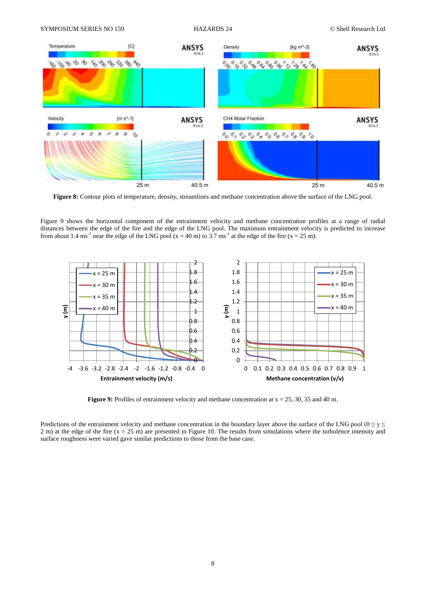

**Figure 8:** Contour plots of temperature, density, streamlines and methane concentration above the surface of the LNG pool.

Figure 9 shows the horizontal component of the entrainment velocity and methane concentration profiles at a range of radial distances between the edge of the fire and the edge of the LNG pool. The maximum entrainment velocity is predicted to increase from about 1.4 ms<sup>-1</sup> near the edge of the LNG pool (x = 40 m) to 3.7 ms<sup>-1</sup> at the edge of the fire (x = 25 m).



**Figure 9:** Profiles of entrainment velocity and methane concentration at  $x = 25$ , 30, 35 and 40 m.

Predictions of the entrainment velocity and methane concentration in the boundary layer above the surface of the LNG pool ( $0 \le y \le$ 2 m) at the edge of the fire  $(x = 25 \text{ m})$  are presented in Figure 10. The results from simulations where the turbulence intensity and surface roughness were varied gave similar predictions to those from the base case.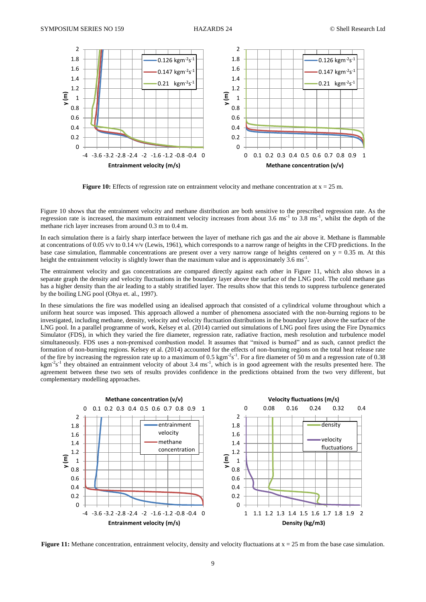

**Figure 10:** Effects of regression rate on entrainment velocity and methane concentration at  $x = 25$  m.

Figure 10 shows that the entrainment velocity and methane distribution are both sensitive to the prescribed regression rate. As the regression rate is increased, the maximum entrainment velocity increases from about 3.6 ms<sup>-1</sup> to 3.8 ms<sup>-1</sup>, whilst the depth of the methane rich layer increases from around 0.3 m to 0.4 m.

In each simulation there is a fairly sharp interface between the layer of methane rich gas and the air above it. Methane is flammable at concentrations of 0.05 v/v to 0.14 v/v (Lewis, 1961), which corresponds to a narrow range of heights in the CFD predictions. In the base case simulation, flammable concentrations are present over a very narrow range of heights centered on  $y = 0.35$  m. At this height the entrainment velocity is slightly lower than the maximum value and is approximately  $3.6 \text{ ms}^{-1}$ .

The entrainment velocity and gas concentrations are compared directly against each other in Figure 11, which also shows in a separate graph the density and velocity fluctuations in the boundary layer above the surface of the LNG pool. The cold methane gas has a higher density than the air leading to a stably stratified layer. The results show that this tends to suppress turbulence generated by the boiling LNG pool (Ohya et. al., 1997).

In these simulations the fire was modelled using an idealised approach that consisted of a cylindrical volume throughout which a uniform heat source was imposed. This approach allowed a number of phenomena associated with the non-burning regions to be investigated, including methane, density, velocity and velocity fluctuation distributions in the boundary layer above the surface of the LNG pool. In a parallel programme of work, Kelsey et al. (2014) carried out simulations of LNG pool fires using the Fire Dynamics Simulator (FDS), in which they varied the fire diameter, regression rate, radiative fraction, mesh resolution and turbulence model simultaneously. FDS uses a non-premixed combustion model. It assumes that "mixed is burned" and as such, cannot predict the formation of non-burning regions. Kelsey et al. (2014) accounted for the effects of non-burning regions on the total heat release rate of the fire by increasing the regression rate up to a maximum of 0.5 kgm<sup>-2</sup>s<sup>-1</sup>. For a fire diameter of 50 m and a regression rate of 0.38  $kgm<sup>2</sup>s<sup>-1</sup>$  they obtained an entrainment velocity of about 3.4 ms<sup>-1</sup>, which is in good agreement with the results presented here. The agreement between these two sets of results provides confidence in the predictions obtained from the two very different, but complementary modelling approaches.



**Figure 11:** Methane concentration, entrainment velocity, density and velocity fluctuations at  $x = 25$  m from the base case simulation.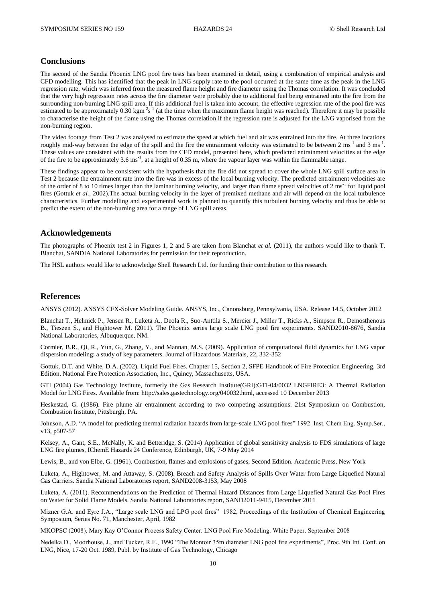#### **Conclusions**

The second of the Sandia Phoenix LNG pool fire tests has been examined in detail, using a combination of empirical analysis and CFD modelling. This has identified that the peak in LNG supply rate to the pool occurred at the same time as the peak in the LNG regression rate, which was inferred from the measured flame height and fire diameter using the Thomas correlation. It was concluded that the very high regression rates across the fire diameter were probably due to additional fuel being entrained into the fire from the surrounding non-burning LNG spill area. If this additional fuel is taken into account, the effective regression rate of the pool fire was estimated to be approximately  $0.30 \text{ kgm}^2\text{s}^{-1}$  (at the time when the maximum flame height was reached). Therefore it may be possible to characterise the height of the flame using the Thomas correlation if the regression rate is adjusted for the LNG vaporised from the non-burning region.

The video footage from Test 2 was analysed to estimate the speed at which fuel and air was entrained into the fire. At three locations roughly mid-way between the edge of the spill and the fire the entrainment velocity was estimated to be between  $2 \text{ ms}^{-1}$  and  $3 \text{ ms}^{-1}$ . These values are consistent with the results from the CFD model, presented here, which predicted entrainment velocities at the edge of the fire to be approximately  $3.6 \text{ ms}^{-1}$ , at a height of  $0.35 \text{ m}$ , where the vapour layer was within the flammable range.

These findings appear to be consistent with the hypothesis that the fire did not spread to cover the whole LNG spill surface area in Test 2 because the entrainment rate into the fire was in excess of the local burning velocity. The predicted entrainment velocities are of the order of 8 to 10 times larger than the laminar burning velocity, and larger than flame spread velocities of 2 ms<sup>-1</sup> for liquid pool fires (Gottuk *et al.,* 2002).The actual burning velocity in the layer of premixed methane and air will depend on the local turbulence characteristics. Further modelling and experimental work is planned to quantify this turbulent burning velocity and thus be able to predict the extent of the non-burning area for a range of LNG spill areas.

#### **Acknowledgements**

The photographs of Phoenix test 2 in Figures 1, 2 and 5 are taken from Blanchat *et al.* (2011), the authors would like to thank T. Blanchat, SANDIA National Laboratories for permission for their reproduction.

The HSL authors would like to acknowledge Shell Research Ltd. for funding their contribution to this research.

## **References**

ANSYS (2012). ANSYS CFX-Solver Modeling Guide. ANSYS, Inc., Canonsburg, Pennsylvania, USA. Release 14.5, October 2012

Blanchat T., Helmick P., Jensen R., Luketa A., Deola R., Suo-Anttila S., Mercier J., Miller T., Ricks A., Simpson R., Demosthenous B., Tieszen S., and Hightower M. (2011). The Phoenix series large scale LNG pool fire experiments. SAND2010-8676, Sandia National Laboratories, Albuquerque, NM.

Cormier, B.R., Qi, R., Yun, G., Zhang, Y., and Mannan, M.S. (2009). Application of computational fluid dynamics for LNG vapor dispersion modeling: a study of key parameters. Journal of Hazardous Materials, 22, 332-352

Gottuk, D.T. and White, D.A. (2002). Liquid Fuel Fires. Chapter 15, Section 2, SFPE Handbook of Fire Protection Engineering, 3rd Edition. National Fire Protection Association, Inc., Quincy, Massachusetts, USA.

GTI (2004) Gas Technology Institute, formerly the Gas Research Institute(GRI):GTI-04/0032 LNGFIRE3: A Thermal Radiation Model for LNG Fires. Available from: [http://sales.gastechnology.org/040032.html,](http://sales.gastechnology.org/040032.html) accessed 10 December 2013

Heskestad, G. (1986). Fire plume air entrainment according to two competing assumptions. 21st Symposium on Combustion, Combustion Institute, Pittsburgh, PA.

Johnson, A.D. "A model for predicting thermal radiation hazards from large-scale LNG pool fires" 1992 Inst. Chem Eng. Symp.Ser., v13, p507-57

Kelsey, A., Gant, S.E., McNally, K. and Betteridge, S. (2014) Application of global sensitivity analysis to FDS simulations of large LNG fire plumes, IChemE Hazards 24 Conference, Edinburgh, UK, 7-9 May 2014

Lewis, B., and von Elbe, G. (1961). Combustion, flames and explosions of gases, Second Edition. Academic Press, New York

Luketa, A., Hightower, M. and Attaway, S. (2008). Breach and Safety Analysis of Spills Over Water from Large Liquefied Natural Gas Carriers. Sandia National Laboratories report, SAND2008-3153, May 2008

Luketa, A. (2011). Recommendations on the Prediction of Thermal Hazard Distances from Large Liquefied Natural Gas Pool Fires on Water for Solid Flame Models. Sandia National Laboratories report, SAND2011-9415, December 2011

Mizner G.A. and Eyre J.A., "Large scale LNG and LPG pool fires" 1982, Proceedings of the Institution of Chemical Engineering Symposium, Series No. 71, Manchester, April, 1982

MKOPSC (2008). Mary Kay O'Connor Process Safety Center. LNG Pool Fire Modeling. White Paper. September 2008

Nedelka D., Moorhouse, J., and Tucker, R.F., 1990 "The Montoir 35m diameter LNG pool fire experiments", Proc. 9th Int. Conf. on LNG, Nice, 17-20 Oct. 1989, Publ. by Institute of Gas Technology, Chicago